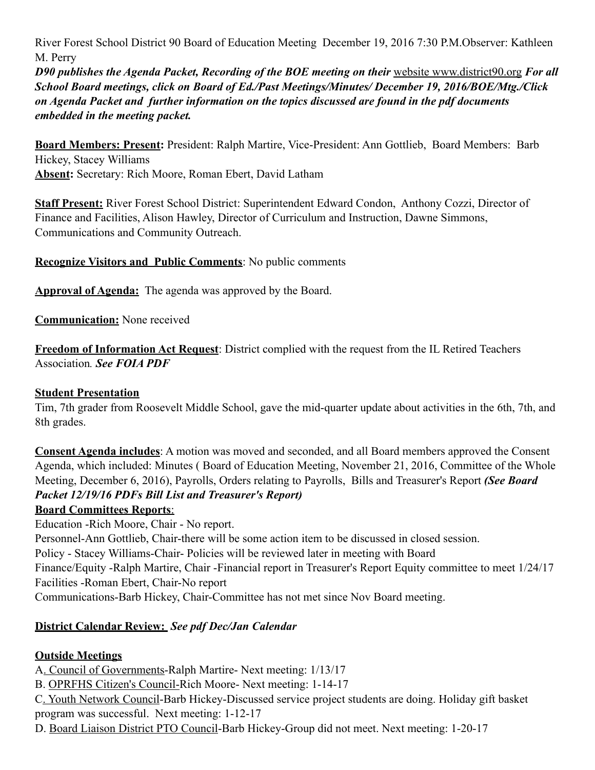River Forest School District 90 Board of Education Meeting December 19, 2016 7:30 P.M.Observer: Kathleen M. Perry

*D90 publishes the Agenda Packet, Recording of the BOE meeting on their* website www.district90.org *For all School Board meetings, click on Board of Ed./Past Meetings/Minutes/ December 19, 2016/BOE/Mtg./Click on Agenda Packet and further information on the topics discussed are found in the pdf documents embedded in the meeting packet.* 

**Board Members: Present:** President: Ralph Martire, Vice-President: Ann Gottlieb, Board Members: Barb Hickey, Stacey Williams **Absent:** Secretary: Rich Moore, Roman Ebert, David Latham

**Staff Present:** River Forest School District: Superintendent Edward Condon, Anthony Cozzi, Director of Finance and Facilities, Alison Hawley, Director of Curriculum and Instruction, Dawne Simmons, Communications and Community Outreach.

**Recognize Visitors and Public Comments**: No public comments

**Approval of Agenda:** The agenda was approved by the Board.

**Communication:** None received

**Freedom of Information Act Request**: District complied with the request from the IL Retired Teachers Association*. See FOIA PDF*

### **Student Presentation**

Tim, 7th grader from Roosevelt Middle School, gave the mid-quarter update about activities in the 6th, 7th, and 8th grades.

**Consent Agenda includes**: A motion was moved and seconded, and all Board members approved the Consent Agenda, which included: Minutes ( Board of Education Meeting, November 21, 2016, Committee of the Whole Meeting, December 6, 2016), Payrolls, Orders relating to Payrolls, Bills and Treasurer's Report *(See Board Packet 12/19/16 PDFs Bill List and Treasurer's Report)*

### **Board Committees Reports**:

Education -Rich Moore, Chair - No report.

Personnel-Ann Gottlieb, Chair-there will be some action item to be discussed in closed session.

Policy - Stacey Williams-Chair- Policies will be reviewed later in meeting with Board

Finance/Equity -Ralph Martire, Chair -Financial report in Treasurer's Report Equity committee to meet 1/24/17 Facilities -Roman Ebert, Chair-No report

Communications-Barb Hickey, Chair-Committee has not met since Nov Board meeting.

# **District Calendar Review:** *See pdf Dec/Jan Calendar*

# **Outside Meetings**

A. Council of Governments-Ralph Martire- Next meeting: 1/13/17

B. OPRFHS Citizen's Council-Rich Moore- Next meeting: 1-14-17

C. Youth Network Council-Barb Hickey-Discussed service project students are doing. Holiday gift basket program was successful. Next meeting: 1-12-17

D. Board Liaison District PTO Council-Barb Hickey-Group did not meet. Next meeting: 1-20-17